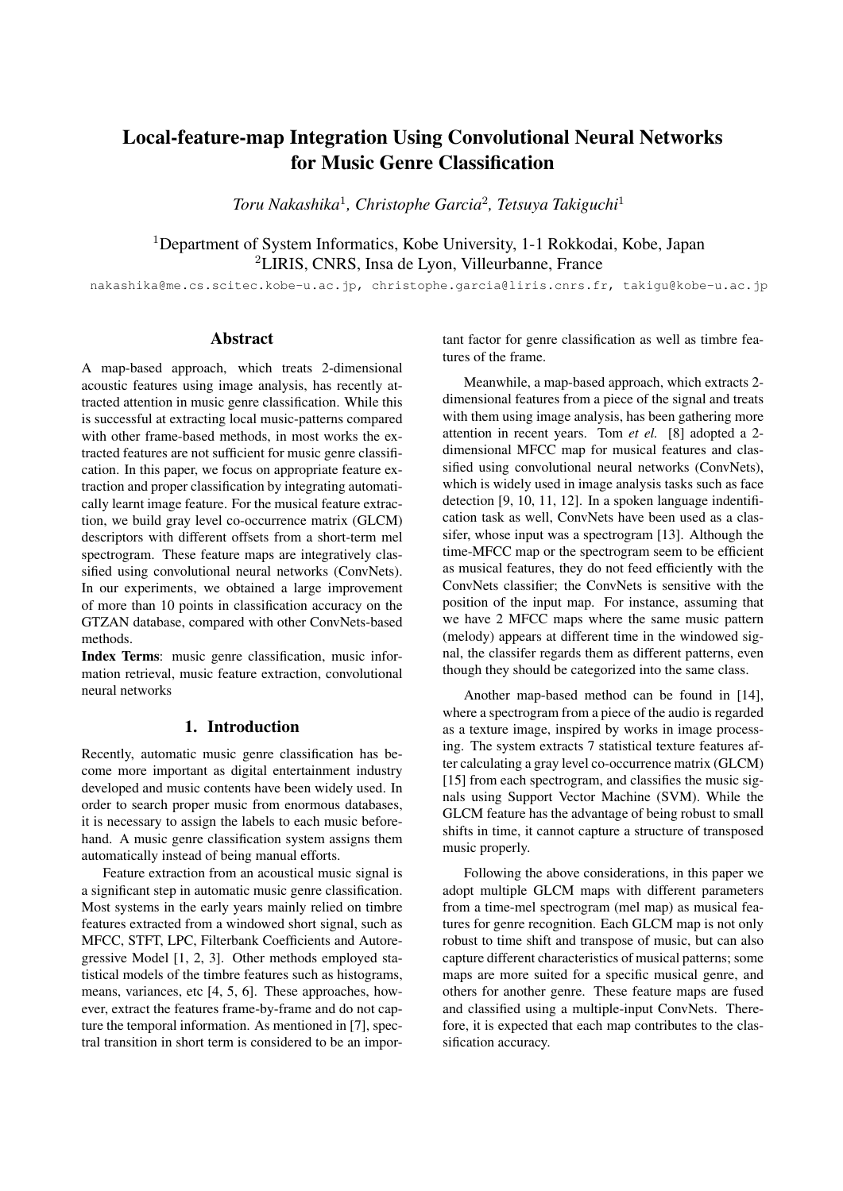# Local-feature-map Integration Using Convolutional Neural Networks for Music Genre Classification

*Toru Nakashika*<sup>1</sup> *, Christophe Garcia*<sup>2</sup> *, Tetsuya Takiguchi*<sup>1</sup>

<sup>1</sup>Department of System Informatics, Kobe University, 1-1 Rokkodai, Kobe, Japan <sup>2</sup>LIRIS, CNRS, Insa de Lyon, Villeurbanne, France

nakashika@me.cs.scitec.kobe-u.ac.jp, christophe.garcia@liris.cnrs.fr, takigu@kobe-u.ac.jp

## Abstract

A map-based approach, which treats 2-dimensional acoustic features using image analysis, has recently attracted attention in music genre classification. While this is successful at extracting local music-patterns compared with other frame-based methods, in most works the extracted features are not sufficient for music genre classification. In this paper, we focus on appropriate feature extraction and proper classification by integrating automatically learnt image feature. For the musical feature extraction, we build gray level co-occurrence matrix (GLCM) descriptors with different offsets from a short-term mel spectrogram. These feature maps are integratively classified using convolutional neural networks (ConvNets). In our experiments, we obtained a large improvement of more than 10 points in classification accuracy on the GTZAN database, compared with other ConvNets-based methods.

Index Terms: music genre classification, music information retrieval, music feature extraction, convolutional neural networks

# 1. Introduction

Recently, automatic music genre classification has become more important as digital entertainment industry developed and music contents have been widely used. In order to search proper music from enormous databases, it is necessary to assign the labels to each music beforehand. A music genre classification system assigns them automatically instead of being manual efforts.

Feature extraction from an acoustical music signal is a significant step in automatic music genre classification. Most systems in the early years mainly relied on timbre features extracted from a windowed short signal, such as MFCC, STFT, LPC, Filterbank Coefficients and Autoregressive Model [1, 2, 3]. Other methods employed statistical models of the timbre features such as histograms, means, variances, etc [4, 5, 6]. These approaches, however, extract the features frame-by-frame and do not capture the temporal information. As mentioned in [7], spectral transition in short term is considered to be an important factor for genre classification as well as timbre features of the frame.

Meanwhile, a map-based approach, which extracts 2 dimensional features from a piece of the signal and treats with them using image analysis, has been gathering more attention in recent years. Tom *et el.* [8] adopted a 2 dimensional MFCC map for musical features and classified using convolutional neural networks (ConvNets), which is widely used in image analysis tasks such as face detection [9, 10, 11, 12]. In a spoken language indentification task as well, ConvNets have been used as a classifer, whose input was a spectrogram [13]. Although the time-MFCC map or the spectrogram seem to be efficient as musical features, they do not feed efficiently with the ConvNets classifier; the ConvNets is sensitive with the position of the input map. For instance, assuming that we have 2 MFCC maps where the same music pattern (melody) appears at different time in the windowed signal, the classifer regards them as different patterns, even though they should be categorized into the same class.

Another map-based method can be found in [14], where a spectrogram from a piece of the audio is regarded as a texture image, inspired by works in image processing. The system extracts 7 statistical texture features after calculating a gray level co-occurrence matrix (GLCM) [15] from each spectrogram, and classifies the music signals using Support Vector Machine (SVM). While the GLCM feature has the advantage of being robust to small shifts in time, it cannot capture a structure of transposed music properly.

Following the above considerations, in this paper we adopt multiple GLCM maps with different parameters from a time-mel spectrogram (mel map) as musical features for genre recognition. Each GLCM map is not only robust to time shift and transpose of music, but can also capture different characteristics of musical patterns; some maps are more suited for a specific musical genre, and others for another genre. These feature maps are fused and classified using a multiple-input ConvNets. Therefore, it is expected that each map contributes to the classification accuracy.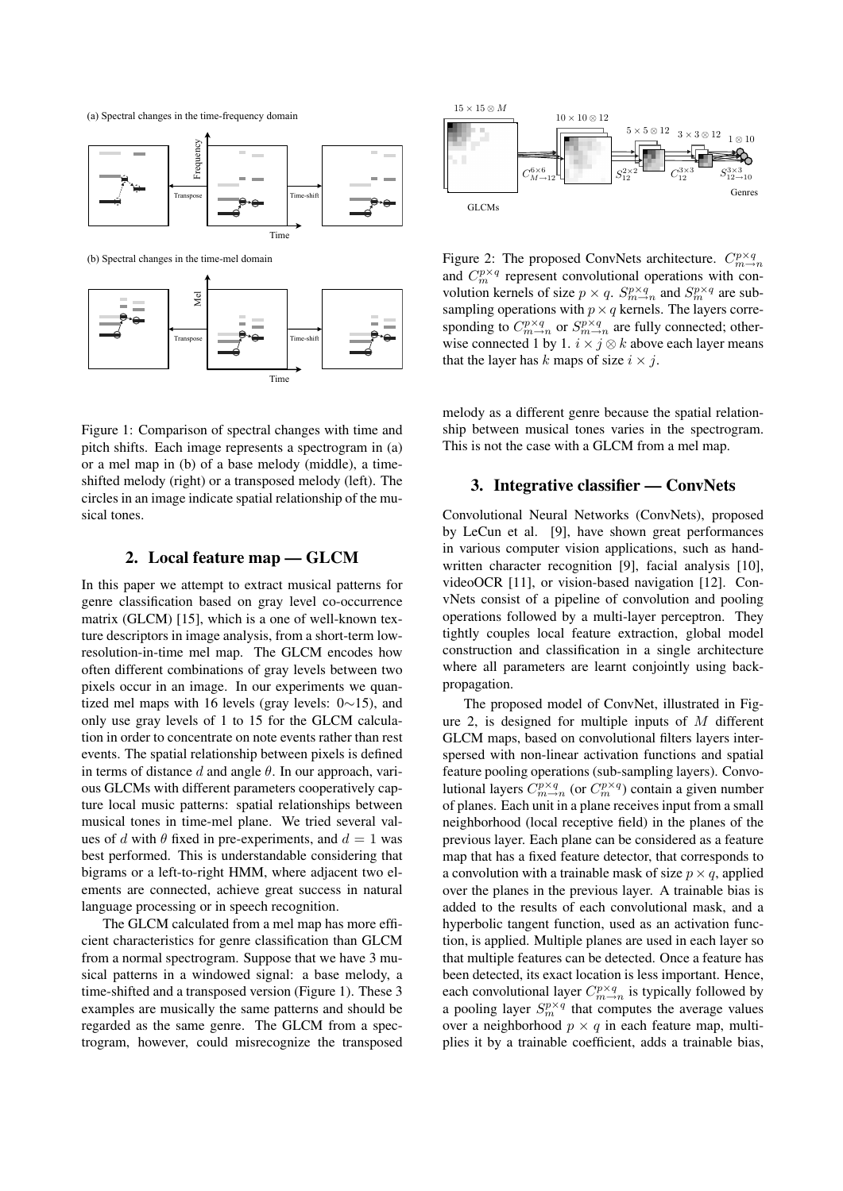(a) Spectral changes in the time-frequency domain



(b) Spectral changes in the time-mel domain



Figure 1: Comparison of spectral changes with time and pitch shifts. Each image represents a spectrogram in (a) or a mel map in (b) of a base melody (middle), a timeshifted melody (right) or a transposed melody (left). The circles in an image indicate spatial relationship of the musical tones.

## 2. Local feature map — GLCM

In this paper we attempt to extract musical patterns for genre classification based on gray level co-occurrence matrix (GLCM) [15], which is a one of well-known texture descriptors in image analysis, from a short-term lowresolution-in-time mel map. The GLCM encodes how often different combinations of gray levels between two pixels occur in an image. In our experiments we quantized mel maps with 16 levels (gray levels: 0*∼*15), and only use gray levels of 1 to 15 for the GLCM calculation in order to concentrate on note events rather than rest events. The spatial relationship between pixels is defined in terms of distance *d* and angle *θ*. In our approach, various GLCMs with different parameters cooperatively capture local music patterns: spatial relationships between musical tones in time-mel plane. We tried several values of *d* with  $\theta$  fixed in pre-experiments, and  $d = 1$  was best performed. This is understandable considering that bigrams or a left-to-right HMM, where adjacent two elements are connected, achieve great success in natural language processing or in speech recognition.

The GLCM calculated from a mel map has more efficient characteristics for genre classification than GLCM from a normal spectrogram. Suppose that we have 3 musical patterns in a windowed signal: a base melody, a time-shifted and a transposed version (Figure 1). These 3 examples are musically the same patterns and should be regarded as the same genre. The GLCM from a spectrogram, however, could misrecognize the transposed



Figure 2: The proposed ConvNets architecture.  $C_{m\to n}^{p\times q}$ and  $C_m^{p \times q}$  represent convolutional operations with convolution kernels of size  $p \times q$ .  $S_{m \to n}^{p \times q}$  and  $S_{m}^{p \times q}$  are subsampling operations with  $p \times q$  kernels. The layers corresponding to  $C_{m \to n}^{p \times q}$  or  $S_{m \to n}^{p \times q}$  are fully connected; otherwise connected 1 by 1.  $i \times j \otimes k$  above each layer means that the layer has *k* maps of size  $i \times j$ .

melody as a different genre because the spatial relationship between musical tones varies in the spectrogram. This is not the case with a GLCM from a mel map.

### 3. Integrative classifier — ConvNets

Convolutional Neural Networks (ConvNets), proposed by LeCun et al. [9], have shown great performances in various computer vision applications, such as handwritten character recognition [9], facial analysis [10], videoOCR [11], or vision-based navigation [12]. ConvNets consist of a pipeline of convolution and pooling operations followed by a multi-layer perceptron. They tightly couples local feature extraction, global model construction and classification in a single architecture where all parameters are learnt conjointly using backpropagation.

The proposed model of ConvNet, illustrated in Figure 2, is designed for multiple inputs of *M* different GLCM maps, based on convolutional filters layers interspersed with non-linear activation functions and spatial feature pooling operations (sub-sampling layers). Convolutional layers  $C_{m\to n}^{p\times q}$  (or  $C_{m}^{p\times q}$ ) contain a given number of planes. Each unit in a plane receives input from a small neighborhood (local receptive field) in the planes of the previous layer. Each plane can be considered as a feature map that has a fixed feature detector, that corresponds to a convolution with a trainable mask of size  $p \times q$ , applied over the planes in the previous layer. A trainable bias is added to the results of each convolutional mask, and a hyperbolic tangent function, used as an activation function, is applied. Multiple planes are used in each layer so that multiple features can be detected. Once a feature has been detected, its exact location is less important. Hence, each convolutional layer  $C_{m\to n}^{p\times q}$  is typically followed by a pooling layer  $S_m^{p \times q}$  that computes the average values over a neighborhood  $p \times q$  in each feature map, multiplies it by a trainable coefficient, adds a trainable bias,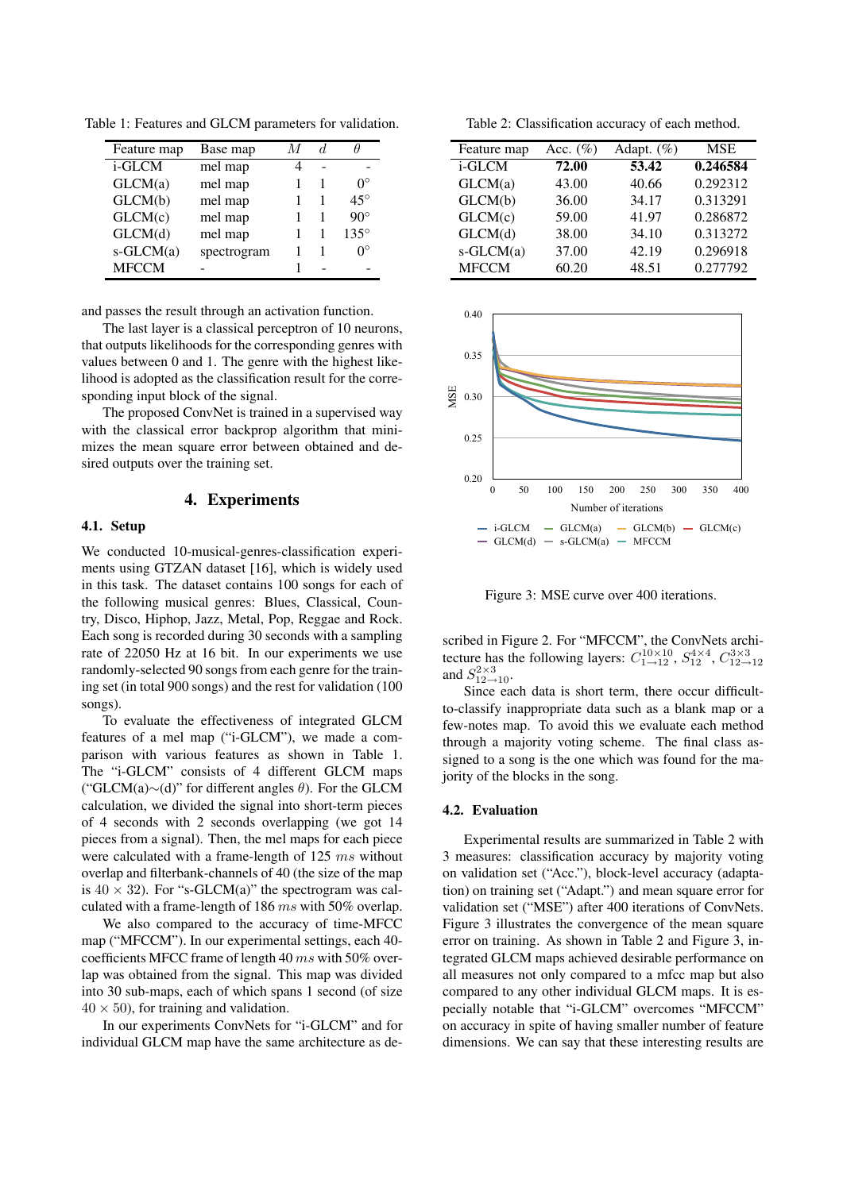Table 1: Features and GLCM parameters for validation.

| Feature map     | Base map    |   |   |              |
|-----------------|-------------|---|---|--------------|
| i-GLCM          | mel map     | 4 |   |              |
| GLCM(a)         | mel map     |   |   | $0^{\circ}$  |
| GLCM(b)         | mel map     |   |   | $45^{\circ}$ |
| GLCM(c)         | mel map     |   |   | $90^{\circ}$ |
| GLCM(d)         | mel map     |   | 1 | $135^\circ$  |
| $s$ -GLCM $(a)$ | spectrogram |   |   | ∩°           |
| <b>MFCCM</b>    |             |   |   |              |

and passes the result through an activation function.

The last layer is a classical perceptron of 10 neurons, that outputs likelihoods for the corresponding genres with values between 0 and 1. The genre with the highest likelihood is adopted as the classification result for the corresponding input block of the signal.

The proposed ConvNet is trained in a supervised way with the classical error backprop algorithm that minimizes the mean square error between obtained and desired outputs over the training set.

#### 4. Experiments

#### 4.1. Setup

We conducted 10-musical-genres-classification experiments using GTZAN dataset [16], which is widely used in this task. The dataset contains 100 songs for each of the following musical genres: Blues, Classical, Country, Disco, Hiphop, Jazz, Metal, Pop, Reggae and Rock. Each song is recorded during 30 seconds with a sampling rate of 22050 Hz at 16 bit. In our experiments we use randomly-selected 90 songs from each genre for the training set (in total 900 songs) and the rest for validation (100 songs).

To evaluate the effectiveness of integrated GLCM features of a mel map ("i-GLCM"), we made a comparison with various features as shown in Table 1. The "i-GLCM" consists of 4 different GLCM maps ("GLCM(a)*∼*(d)" for different angles *θ*). For the GLCM calculation, we divided the signal into short-term pieces of 4 seconds with 2 seconds overlapping (we got 14 pieces from a signal). Then, the mel maps for each piece were calculated with a frame-length of 125 *ms* without overlap and filterbank-channels of 40 (the size of the map is  $40 \times 32$ ). For "s-GLCM(a)" the spectrogram was calculated with a frame-length of 186 *ms* with 50% overlap.

We also compared to the accuracy of time-MFCC map ("MFCCM"). In our experimental settings, each 40 coefficients MFCC frame of length 40 *ms* with 50% overlap was obtained from the signal. This map was divided into 30 sub-maps, each of which spans 1 second (of size  $40 \times 50$ , for training and validation.

In our experiments ConvNets for "i-GLCM" and for individual GLCM map have the same architecture as de-

Table 2: Classification accuracy of each method.

| Feature map     | Acc. $(\%)$ | Adapt. $(\%)$ | <b>MSE</b> |
|-----------------|-------------|---------------|------------|
| i-GLCM          | 72.00       | 53.42         | 0.246584   |
| GLCM(a)         | 43.00       | 40.66         | 0.292312   |
| GLCM(b)         | 36.00       | 34.17         | 0.313291   |
| GLCM(c)         | 59.00       | 41.97         | 0.286872   |
| GLCM(d)         | 38.00       | 34.10         | 0.313272   |
| $s$ -GLCM $(a)$ | 37.00       | 42.19         | 0.296918   |
| <b>MFCCM</b>    | 60.20       | 48.51         | 0.277792   |



Figure 3: MSE curve over 400 iterations.

scribed in Figure 2. For "MFCCM", the ConvNets architecture has the following layers:  $C_{1\to 12}^{10\times 10}$ ,  $S_{12}^{4\times 4}$ ,  $C_{12\to 12}^{3\times 3}$ and  $S_{12\rightarrow10}^{2\times3}$ .

Since each data is short term, there occur difficultto-classify inappropriate data such as a blank map or a few-notes map. To avoid this we evaluate each method through a majority voting scheme. The final class assigned to a song is the one which was found for the majority of the blocks in the song.

#### 4.2. Evaluation

Experimental results are summarized in Table 2 with 3 measures: classification accuracy by majority voting on validation set ("Acc."), block-level accuracy (adaptation) on training set ("Adapt.") and mean square error for validation set ("MSE") after 400 iterations of ConvNets. Figure 3 illustrates the convergence of the mean square error on training. As shown in Table 2 and Figure 3, integrated GLCM maps achieved desirable performance on all measures not only compared to a mfcc map but also compared to any other individual GLCM maps. It is especially notable that "i-GLCM" overcomes "MFCCM" on accuracy in spite of having smaller number of feature dimensions. We can say that these interesting results are